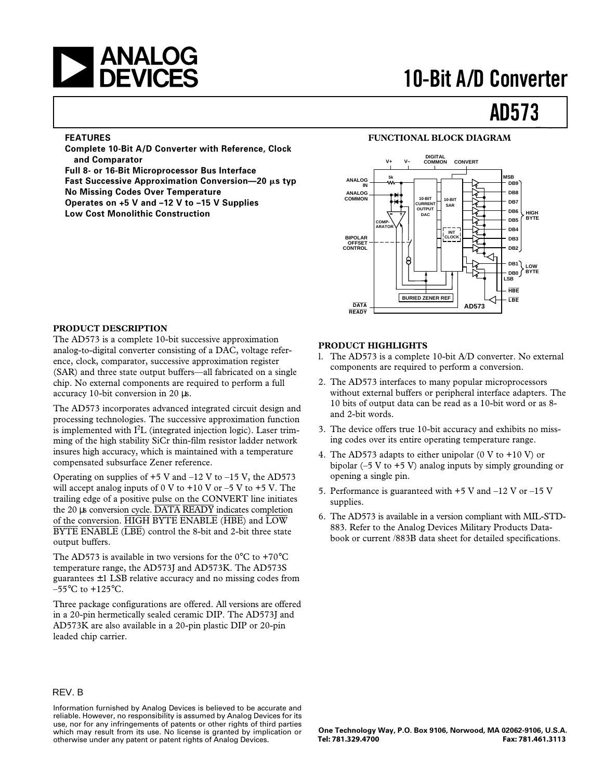

#### **FEATURES**

**Complete 10-Bit A/D Converter with Reference, Clock and Comparator**

**Full 8- or 16-Bit Microprocessor Bus Interface**

**Fast Successive Approximation Conversion—20 μs typ No Missing Codes Over Temperature**

**Operates on +5 V and –12 V to –15 V Supplies**

**Low Cost Monolithic Construction**

#### **FUNCTIONAL BLOCK DIAGRAM**



#### **PRODUCT DESCRIPTION**

The AD573 is a complete 10-bit successive approximation analog-to-digital converter consisting of a DAC, voltage reference, clock, comparator, successive approximation register (SAR) and three state output buffers—all fabricated on a single chip. No external components are required to perform a full accuracy 10-bit conversion in 20 µs.

The AD573 incorporates advanced integrated circuit design and processing technologies. The successive approximation function is implemented with  $I^2L$  (integrated injection logic). Laser trimming of the high stability SiCr thin-film resistor ladder network insures high accuracy, which is maintained with a temperature compensated subsurface Zener reference.

Operating on supplies of  $+5$  V and  $-12$  V to  $-15$  V, the AD573 will accept analog inputs of 0 V to  $+10$  V or  $-5$  V to  $+5$  V. The trailing edge of a positive pulse on the CONVERT line initiates the 20 µs conversion cycle. DATA READY indicates completion of the conversion.  $\overline{HIGH}$  BYTE ENABLE ( $\overline{HBE}$ ) and  $\overline{LOW}$ BYTE ENABLE (LBE) control the 8-bit and 2-bit three state output buffers.

The AD573 is available in two versions for the  $0^{\circ}$ C to +70 $^{\circ}$ C temperature range, the AD573J and AD573K. The AD573S guarantees  $\pm 1$  LSB relative accuracy and no missing codes from  $-55^{\circ}$ C to  $+125^{\circ}$ C.

Three package configurations are offered. All versions are offered in a 20-pin hermetically sealed ceramic DIP. The AD573J and AD573K are also available in a 20-pin plastic DIP or 20-pin leaded chip carrier.

#### **PRODUCT HIGHLIGHTS**

- l. The AD573 is a complete 10-bit A/D converter. No external components are required to perform a conversion.
- 2. The AD573 interfaces to many popular microprocessors without external buffers or peripheral interface adapters. The 10 bits of output data can be read as a 10-bit word or as 8 and 2-bit words.
- 3. The device offers true 10-bit accuracy and exhibits no missing codes over its entire operating temperature range.
- 4. The AD573 adapts to either unipolar  $(0 \text{ V to } +10 \text{ V})$  or bipolar (–5 V to +5 V) analog inputs by simply grounding or opening a single pin.
- 5. Performance is guaranteed with  $+5$  V and  $-12$  V or  $-15$  V supplies.
- 6. The AD573 is available in a version compliant with MIL-STD-883. Refer to the Analog Devices Military Products Databook or current /883B data sheet for detailed specifications.

#### REV. B

Information furnished by Analog Devices is believed to be accurate and reliable. However, no responsibility is assumed by Analog Devices for its use, nor for any infringements of patents or other rights of third parties which may result from its use. No license is granted by implication or otherwise under any patent or patent rights of Analog Devices.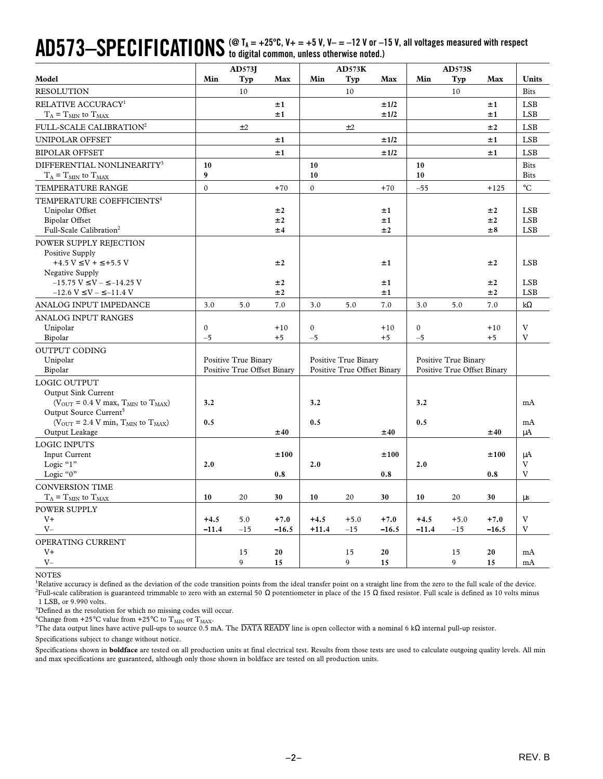# $\mathbf{A}\mathbf{D}573\text{---} \mathbf{S}\mathbf{P}\mathbf{E}\mathbf{C}\mathbf{I}\mathbf{F}\mathbf{I}\mathbf{C}\mathbf{A}\mathbf{T}\mathbf{I}\mathbf{0}\mathbf{N}\mathbf{S}$  (@ T<sub>A</sub> = +25°C, V+ = +5 V, V– = –12 V or –15 V, all voltages measured with respect<br>only to digital common, unless otherwise note

|                                                                                                                                                                                                                                                                                                                                                                                                                                                                                                                                                                                                                                                                                                                                                                                                                                                                                                                                                                                                                                                                                                                                                   |                          | AD573J                                                     |                   |                      | AD573K                                                     |                 |                          | <b>AD573S</b>                                              |                   |                                        |
|---------------------------------------------------------------------------------------------------------------------------------------------------------------------------------------------------------------------------------------------------------------------------------------------------------------------------------------------------------------------------------------------------------------------------------------------------------------------------------------------------------------------------------------------------------------------------------------------------------------------------------------------------------------------------------------------------------------------------------------------------------------------------------------------------------------------------------------------------------------------------------------------------------------------------------------------------------------------------------------------------------------------------------------------------------------------------------------------------------------------------------------------------|--------------------------|------------------------------------------------------------|-------------------|----------------------|------------------------------------------------------------|-----------------|--------------------------|------------------------------------------------------------|-------------------|----------------------------------------|
| Model                                                                                                                                                                                                                                                                                                                                                                                                                                                                                                                                                                                                                                                                                                                                                                                                                                                                                                                                                                                                                                                                                                                                             | Min                      | Typ                                                        | Max               | Min                  | Typ                                                        | Max             | Min                      | Typ                                                        | Max               | Units                                  |
| <b>RESOLUTION</b>                                                                                                                                                                                                                                                                                                                                                                                                                                                                                                                                                                                                                                                                                                                                                                                                                                                                                                                                                                                                                                                                                                                                 |                          | 10                                                         |                   |                      | 10                                                         |                 |                          | 10                                                         |                   | <b>Bits</b>                            |
| RELATIVE ACCURACY <sup>1</sup>                                                                                                                                                                                                                                                                                                                                                                                                                                                                                                                                                                                                                                                                                                                                                                                                                                                                                                                                                                                                                                                                                                                    |                          |                                                            | ±1                |                      |                                                            | ±1/2            |                          |                                                            | ±1                | <b>LSB</b>                             |
| $T_A = T_{MIN}$ to $T_{MAX}$                                                                                                                                                                                                                                                                                                                                                                                                                                                                                                                                                                                                                                                                                                                                                                                                                                                                                                                                                                                                                                                                                                                      |                          |                                                            | ±1                |                      |                                                            | ±1/2            |                          |                                                            | ±1                | <b>LSB</b>                             |
| FULL-SCALE CALIBRATION <sup>2</sup>                                                                                                                                                                                                                                                                                                                                                                                                                                                                                                                                                                                                                                                                                                                                                                                                                                                                                                                                                                                                                                                                                                               |                          | ±2                                                         |                   |                      | $\pm 2$                                                    |                 |                          |                                                            | ±2                | <b>LSB</b>                             |
| UNIPOLAR OFFSET                                                                                                                                                                                                                                                                                                                                                                                                                                                                                                                                                                                                                                                                                                                                                                                                                                                                                                                                                                                                                                                                                                                                   |                          |                                                            | ±1                |                      |                                                            | ±1/2            |                          |                                                            | ±1                | <b>LSB</b>                             |
| <b>BIPOLAR OFFSET</b>                                                                                                                                                                                                                                                                                                                                                                                                                                                                                                                                                                                                                                                                                                                                                                                                                                                                                                                                                                                                                                                                                                                             |                          |                                                            | ±1                |                      |                                                            | ±1/2            |                          |                                                            | ±1                | <b>LSB</b>                             |
| DIFFERENTIAL NONLINEARITY <sup>3</sup><br>$T_A = T_{MIN}$ to $T_{MAX}$                                                                                                                                                                                                                                                                                                                                                                                                                                                                                                                                                                                                                                                                                                                                                                                                                                                                                                                                                                                                                                                                            | 10<br>9                  |                                                            |                   | 10<br>10             |                                                            |                 | 10<br>10                 |                                                            |                   | <b>Bits</b><br><b>Bits</b>             |
| TEMPERATURE RANGE                                                                                                                                                                                                                                                                                                                                                                                                                                                                                                                                                                                                                                                                                                                                                                                                                                                                                                                                                                                                                                                                                                                                 | $\mathbf{0}$             |                                                            | $+70$             | $\mathbf{0}$         |                                                            | $+70$           | $-55$                    |                                                            | $+125$            | $^{\circ}C$                            |
| TEMPERATURE COEFFICIENTS <sup>4</sup><br>Unipolar Offset<br><b>Bipolar Offset</b><br>Full-Scale Calibration <sup>2</sup>                                                                                                                                                                                                                                                                                                                                                                                                                                                                                                                                                                                                                                                                                                                                                                                                                                                                                                                                                                                                                          |                          |                                                            | ±2<br>±2<br>±4    |                      |                                                            | ±1<br>±1<br>±2  |                          |                                                            | ±2<br>±2<br>±8    | <b>LSB</b><br><b>LSB</b><br><b>LSB</b> |
| POWER SUPPLY REJECTION<br>Positive Supply<br>$+4.5 V \le V + \le +5.5 V$<br>Negative Supply<br>$-15.75$ V $\leq$ V $ \leq$ $-14.25$ V                                                                                                                                                                                                                                                                                                                                                                                                                                                                                                                                                                                                                                                                                                                                                                                                                                                                                                                                                                                                             |                          |                                                            | ±2<br>±2          |                      |                                                            | ±1<br>±1        |                          |                                                            | ±2<br>±2          | <b>LSB</b><br><b>LSB</b>               |
| $-12.6 V \le V - \le -11.4 V$                                                                                                                                                                                                                                                                                                                                                                                                                                                                                                                                                                                                                                                                                                                                                                                                                                                                                                                                                                                                                                                                                                                     |                          |                                                            | ±2                |                      |                                                            | ±1              |                          |                                                            | ±2                | <b>LSB</b>                             |
| ANALOG INPUT IMPEDANCE                                                                                                                                                                                                                                                                                                                                                                                                                                                                                                                                                                                                                                                                                                                                                                                                                                                                                                                                                                                                                                                                                                                            | 3.0                      | 5.0                                                        | 7.0               | 3.0                  | 5.0                                                        | 7.0             | 3.0                      | 5.0                                                        | 7.0               | $k\Omega$                              |
| <b>ANALOG INPUT RANGES</b><br>Unipolar<br>Bipolar                                                                                                                                                                                                                                                                                                                                                                                                                                                                                                                                                                                                                                                                                                                                                                                                                                                                                                                                                                                                                                                                                                 | $\boldsymbol{0}$<br>$-5$ |                                                            | $+10$<br>$+5$     | $\mathbf{0}$<br>$-5$ |                                                            | $+10$<br>$+5$   | $\boldsymbol{0}$<br>$-5$ |                                                            | $+10$<br>$+5$     | V<br>V                                 |
| <b>OUTPUT CODING</b>                                                                                                                                                                                                                                                                                                                                                                                                                                                                                                                                                                                                                                                                                                                                                                                                                                                                                                                                                                                                                                                                                                                              |                          |                                                            |                   |                      |                                                            |                 |                          |                                                            |                   |                                        |
| Unipolar<br>Bipolar                                                                                                                                                                                                                                                                                                                                                                                                                                                                                                                                                                                                                                                                                                                                                                                                                                                                                                                                                                                                                                                                                                                               |                          | <b>Positive True Binary</b><br>Positive True Offset Binary |                   |                      | <b>Positive True Binary</b><br>Positive True Offset Binary |                 |                          | <b>Positive True Binary</b><br>Positive True Offset Binary |                   |                                        |
| LOGIC OUTPUT<br><b>Output Sink Current</b><br>( $V_{\text{OUT}}$ = 0.4 V max, $T_{\text{MIN}}$ to $T_{\text{MAX}}$ )<br>Output Source Current <sup>5</sup><br>( $V_{\text{OUT}}$ = 2.4 V min, $T_{\text{MIN}}$ to $T_{\text{MAX}}$ )                                                                                                                                                                                                                                                                                                                                                                                                                                                                                                                                                                                                                                                                                                                                                                                                                                                                                                              | 3.2<br>0.5               |                                                            |                   | 3.2<br>0.5           |                                                            |                 | 3.2<br>0.5               |                                                            |                   | mA<br>mA                               |
| Output Leakage                                                                                                                                                                                                                                                                                                                                                                                                                                                                                                                                                                                                                                                                                                                                                                                                                                                                                                                                                                                                                                                                                                                                    |                          |                                                            | ±40               |                      |                                                            | ±40             |                          |                                                            | ±40               | μA                                     |
| <b>LOGIC INPUTS</b><br><b>Input Current</b><br>Logic "1"<br>Logic "0"                                                                                                                                                                                                                                                                                                                                                                                                                                                                                                                                                                                                                                                                                                                                                                                                                                                                                                                                                                                                                                                                             | 2.0                      |                                                            | ±100<br>0.8       | 2.0                  |                                                            | ±100<br>0.8     | 2.0                      |                                                            | ±100<br>0.8       | μA<br>V<br>V                           |
| <b>CONVERSION TIME</b><br>$T_A = T_{MIN}$ to $T_{MAX}$                                                                                                                                                                                                                                                                                                                                                                                                                                                                                                                                                                                                                                                                                                                                                                                                                                                                                                                                                                                                                                                                                            | 10                       | 20                                                         | 30                | 10                   | 20                                                         | 30              | 10                       | 20                                                         | 30                | μs                                     |
| POWER SUPPLY<br>V <sup>+</sup><br>$V -$                                                                                                                                                                                                                                                                                                                                                                                                                                                                                                                                                                                                                                                                                                                                                                                                                                                                                                                                                                                                                                                                                                           | $+4.5$<br>$-11.4$        | 5.0<br>$-15$                                               | $+7.0$<br>$-16.5$ | $+4.5$<br>$+11.4$    | $+5.0$<br>$-15$                                            | $+7.0$<br>-16.5 | $+4.5$<br>$-11.4$        | $+5.0$<br>$-15$                                            | $+7.0$<br>$-16.5$ | V<br>V                                 |
| OPERATING CURRENT<br>V+<br>$V -$                                                                                                                                                                                                                                                                                                                                                                                                                                                                                                                                                                                                                                                                                                                                                                                                                                                                                                                                                                                                                                                                                                                  |                          | 15<br>9                                                    | 20<br>15          |                      | 15<br>9                                                    | 20<br>15        |                          | 15<br>9                                                    | 20<br>15          | mA<br>mA                               |
| <b>NOTES</b><br><sup>1</sup> Relative accuracy is defined as the deviation of the code transition points from the ideal transfer point on a straight line from the zero to the full scale of the device.<br><sup>2</sup> Full-scale calibration is guaranteed trimmable to zero with an external 50 Ω potentiometer in place of the 15 Ω fixed resistor. Full scale is defined as 10 volts minus<br>1 LSB, or 9.990 volts.<br><sup>3</sup> Defined as the resolution for which no missing codes will occur.<br><sup>4</sup> Change from +25°C value from +25°C to $T_{MIN}$ or $T_{MAX}$ .<br><sup>5</sup> The data output lines have active pull-ups to source 0.5 mA. The $\overline{DATA}$ READY line is open collector with a nominal 6 k $\Omega$ internal pull-up resistor.<br>Specifications subject to change without notice.<br>Specifications shown in <b>boldface</b> are tested on all production units at final electrical test. Results from those tests are used to calculate outgoing quality levels. All min<br>and max specifications are guaranteed, although only those shown in boldface are tested on all production units. |                          |                                                            |                   |                      |                                                            |                 |                          |                                                            |                   |                                        |
|                                                                                                                                                                                                                                                                                                                                                                                                                                                                                                                                                                                                                                                                                                                                                                                                                                                                                                                                                                                                                                                                                                                                                   |                          |                                                            | $-2-$             |                      |                                                            |                 |                          |                                                            |                   | REV. B                                 |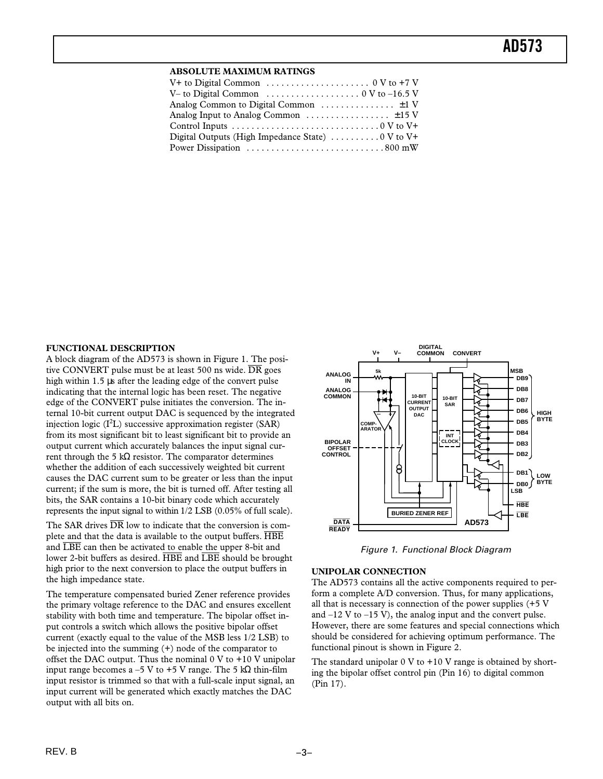#### **ABSOLUTE MAXIMUM RATINGS**

| V+ to Digital Common $\ldots \ldots \ldots \ldots \ldots \ldots \ldots \ldots \ldots \ldots \ldots$ |  |
|-----------------------------------------------------------------------------------------------------|--|
| V– to Digital Common $\ldots \ldots \ldots \ldots \ldots \ldots \ldots \ldots \ldots$               |  |
| Analog Common to Digital Common $\dots\dots\dots\dots\dots\dots\dots$                               |  |
| Analog Input to Analog Common $\dots\dots\dots\dots\dots\dots\dots$                                 |  |
|                                                                                                     |  |
| Digital Outputs (High Impedance State) $\dots\dots\dots\dots\dots$                                  |  |
| Power Dissipation 800 mW                                                                            |  |

#### **FUNCTIONAL DESCRIPTION**

A block diagram of the AD573 is shown in Figure 1. The positive CONVERT pulse must be at least 500 ns wide.  $\overline{DR}$  goes high within 1.5 µs after the leading edge of the convert pulse indicating that the internal logic has been reset. The negative edge of the CONVERT pulse initiates the conversion. The internal 10-bit current output DAC is sequenced by the integrated injection logic  $(I<sup>2</sup>L)$  successive approximation register (SAR) from its most significant bit to least significant bit to provide an output current which accurately balances the input signal current through the 5 kΩ resistor. The comparator determines whether the addition of each successively weighted bit current causes the DAC current sum to be greater or less than the input current; if the sum is more, the bit is turned off. After testing all bits, the SAR contains a 10-bit binary code which accurately represents the input signal to within 1/2 LSB (0.05% of full scale).

The SAR drives  $\overline{DR}$  low to indicate that the conversion is complete and that the data is available to the output buffers. HBE and LBE can then be activated to enable the upper 8-bit and lower 2-bit buffers as desired.  $\overline{\text{HBE}}$  and  $\overline{\text{LBE}}$  should be brought high prior to the next conversion to place the output buffers in the high impedance state.

The temperature compensated buried Zener reference provides the primary voltage reference to the DAC and ensures excellent stability with both time and temperature. The bipolar offset input controls a switch which allows the positive bipolar offset current (exactly equal to the value of the MSB less 1/2 LSB) to be injected into the summing (+) node of the comparator to offset the DAC output. Thus the nominal  $0 \text{ V}$  to  $+10 \text{ V}$  unipolar input range becomes a –5 V to +5 V range. The 5 kΩ thin-film input resistor is trimmed so that with a full-scale input signal, an input current will be generated which exactly matches the DAC output with all bits on.



Figure 1. Functional Block Diagram

#### **UNIPOLAR CONNECTION**

The AD573 contains all the active components required to perform a complete A/D conversion. Thus, for many applications, all that is necessary is connection of the power supplies (+5 V and  $-12$  V to  $-15$  V), the analog input and the convert pulse. However, there are some features and special connections which should be considered for achieving optimum performance. The functional pinout is shown in Figure 2.

The standard unipolar  $0 \text{ V}$  to  $+10 \text{ V}$  range is obtained by shorting the bipolar offset control pin (Pin 16) to digital common (Pin 17).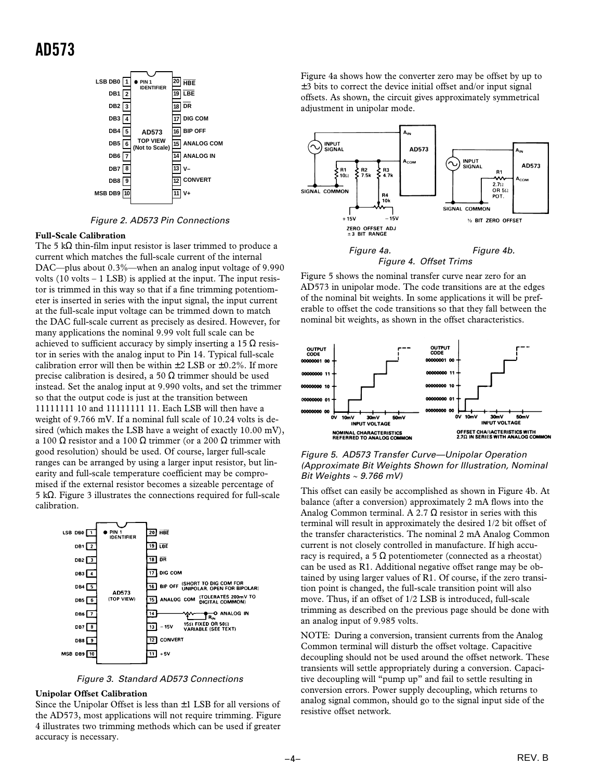

Figure 2. AD573 Pin Connections

#### **Full-Scale Calibration**

The 5 kΩ thin-film input resistor is laser trimmed to produce a current which matches the full-scale current of the internal DAC—plus about 0.3%—when an analog input voltage of 9.990 volts  $(10 \text{ volts} - 1 \text{ LSB})$  is applied at the input. The input resistor is trimmed in this way so that if a fine trimming potentiometer is inserted in series with the input signal, the input current at the full-scale input voltage can be trimmed down to match the DAC full-scale current as precisely as desired. However, for many applications the nominal 9.99 volt full scale can be achieved to sufficient accuracy by simply inserting a 15  $\Omega$  resistor in series with the analog input to Pin 14. Typical full-scale calibration error will then be within  $\pm 2$  LSB or  $\pm 0.2$ %. If more precise calibration is desired, a 50  $\Omega$  trimmer should be used instead. Set the analog input at 9.990 volts, and set the trimmer so that the output code is just at the transition between 11111111 10 and 11111111 11. Each LSB will then have a weight of 9.766 mV. If a nominal full scale of 10.24 volts is desired (which makes the LSB have a weight of exactly 10.00 mV), a 100 Ω resistor and a 100 Ω trimmer (or a 200 Ω trimmer with good resolution) should be used. Of course, larger full-scale ranges can be arranged by using a larger input resistor, but linearity and full-scale temperature coefficient may be compromised if the external resistor becomes a sizeable percentage of 5 kΩ. Figure 3 illustrates the connections required for full-scale calibration.



Figure 3. Standard AD573 Connections

#### **Unipolar Offset Calibration**

Since the Unipolar Offset is less than  $\pm 1$  LSB for all versions of the AD573, most applications will not require trimming. Figure 4 illustrates two trimming methods which can be used if greater accuracy is necessary.

Figure 4a shows how the converter zero may be offset by up to ±3 bits to correct the device initial offset and/or input signal offsets. As shown, the circuit gives approximately symmetrical adjustment in unipolar mode.



Figure 5 shows the nominal transfer curve near zero for an AD573 in unipolar mode. The code transitions are at the edges of the nominal bit weights. In some applications it will be preferable to offset the code transitions so that they fall between the nominal bit weights, as shown in the offset characteristics.



#### Figure 5. AD573 Transfer Curve—Unipolar Operation (Approximate Bit Weights Shown for Illustration, Nominal Bit Weights  $\sim$  9.766 mV)

This offset can easily be accomplished as shown in Figure 4b. At balance (after a conversion) approximately 2 mA flows into the Analog Common terminal. A 2.7  $\Omega$  resistor in series with this terminal will result in approximately the desired 1/2 bit offset of the transfer characteristics. The nominal 2 mA Analog Common current is not closely controlled in manufacture. If high accuracy is required, a 5  $\Omega$  potentiometer (connected as a rheostat) can be used as R1. Additional negative offset range may be obtained by using larger values of R1. Of course, if the zero transition point is changed, the full-scale transition point will also move. Thus, if an offset of 1/2 LSB is introduced, full-scale trimming as described on the previous page should be done with an analog input of 9.985 volts.

NOTE: During a conversion, transient currents from the Analog Common terminal will disturb the offset voltage. Capacitive decoupling should not be used around the offset network. These transients will settle appropriately during a conversion. Capacitive decoupling will "pump up" and fail to settle resulting in conversion errors. Power supply decoupling, which returns to analog signal common, should go to the signal input side of the resistive offset network.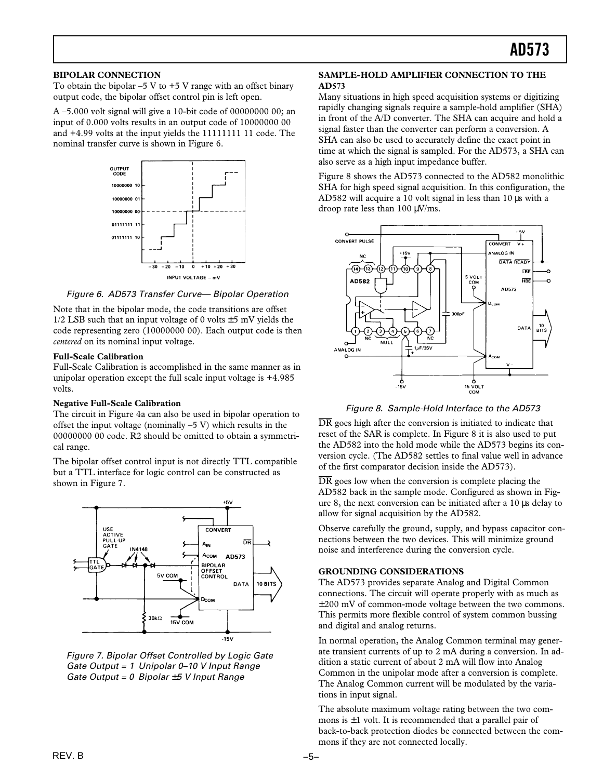#### **BIPOLAR CONNECTION**

To obtain the bipolar  $-5$  V to  $+5$  V range with an offset binary output code, the bipolar offset control pin is left open.

A –5.000 volt signal will give a 10-bit code of 00000000 00; an input of 0.000 volts results in an output code of 10000000 00 and +4.99 volts at the input yields the 11111111 11 code. The nominal transfer curve is shown in Figure 6.



Figure 6. AD573 Transfer Curve— Bipolar Operation

Note that in the bipolar mode, the code transitions are offset  $1/2$  LSB such that an input voltage of 0 volts  $\pm$  5 mV yields the code representing zero (10000000 00). Each output code is then *centered* on its nominal input voltage.

#### **Full-Scale Calibration**

Full-Scale Calibration is accomplished in the same manner as in unipolar operation except the full scale input voltage is +4.985 volts.

#### **Negative Full-Scale Calibration**

The circuit in Figure 4a can also be used in bipolar operation to offset the input voltage (nominally  $-5$  V) which results in the 00000000 00 code. R2 should be omitted to obtain a symmetrical range.

The bipolar offset control input is not directly TTL compatible but a TTL interface for logic control can be constructed as shown in Figure 7.



Figure 7. Bipolar Offset Controlled by Logic Gate Gate Output = 1 Unipolar 0–10 V Input Range Gate Output =  $0$  Bipolar  $\pm 5$  V Input Range

#### **SAMPLE-HOLD AMPLIFIER CONNECTION TO THE AD573**

Many situations in high speed acquisition systems or digitizing rapidly changing signals require a sample-hold amplifier (SHA) in front of the A/D converter. The SHA can acquire and hold a signal faster than the converter can perform a conversion. A SHA can also be used to accurately define the exact point in time at which the signal is sampled. For the AD573, a SHA can also serve as a high input impedance buffer.

Figure 8 shows the AD573 connected to the AD582 monolithic SHA for high speed signal acquisition. In this configuration, the AD582 will acquire a 10 volt signal in less than 10 µs with a droop rate less than 100 µV/ms.



Figure 8. Sample-Hold Interface to the AD573

DR goes high after the conversion is initiated to indicate that reset of the SAR is complete. In Figure 8 it is also used to put the AD582 into the hold mode while the AD573 begins its conversion cycle. (The AD582 settles to final value well in advance of the first comparator decision inside the AD573).

 $\overline{DR}$  goes low when the conversion is complete placing the AD582 back in the sample mode. Configured as shown in Figure 8, the next conversion can be initiated after a 10 µs delay to allow for signal acquisition by the AD582.

Observe carefully the ground, supply, and bypass capacitor connections between the two devices. This will minimize ground noise and interference during the conversion cycle.

#### **GROUNDING CONSIDERATIONS**

The AD573 provides separate Analog and Digital Common connections. The circuit will operate properly with as much as ±200 mV of common-mode voltage between the two commons. This permits more flexible control of system common bussing and digital and analog returns.

In normal operation, the Analog Common terminal may generate transient currents of up to 2 mA during a conversion. In addition a static current of about 2 mA will flow into Analog Common in the unipolar mode after a conversion is complete. The Analog Common current will be modulated by the variations in input signal.

The absolute maximum voltage rating between the two commons is  $\pm 1$  volt. It is recommended that a parallel pair of back-to-back protection diodes be connected between the commons if they are not connected locally.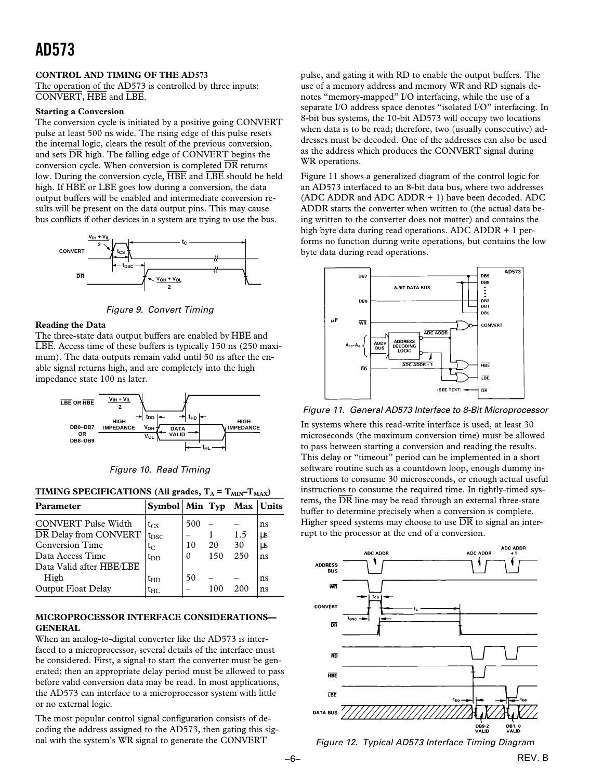#### **CONTROL AND TIMING OF THE AD573**

The operation of the AD573 is controlled by three inputs: CONVERT, HBE and LBE.

#### **Starting a Conversion**

The conversion cycle is initiated by a positive going CONVERT pulse at least 500 ns wide. The rising edge of this pulse resets the internal logic, clears the result of the previous conversion, and sets  $\overline{DR}$  high. The falling edge of CONVERT begins the conversion cycle. When conversion is completed  $\overline{DR}$  returns low. During the conversion cycle, HBE and LBE should be held high. If  $\overline{HBE}$  or  $\overline{LBE}$  goes low during a conversion, the data output buffers will be enabled and intermediate conversion results will be present on the data output pins. This may cause bus conflicts if other devices in a system are trying to use the bus.



Figure 9. Convert Timing

#### **Reading the Data**

The three-state data output buffers are enabled by HBE and LBE. Access time of these buffers is typically 150 ns (250 maximum). The data outputs remain valid until 50 ns after the enable signal returns high, and are completely into the high impedance state 100 ns later.



Figure 10. Read Timing

#### **TIMING SPECIFICATIONS (All grades,**  $T_A = T_{MIN} - T_{MAX}$ **)**

| <b>Parameter</b>           | Symbol   Min Typ Max   Units |          |     |     |    |
|----------------------------|------------------------------|----------|-----|-----|----|
| <b>CONVERT Pulse Width</b> | $t_{CS}$                     | 500      |     |     | ns |
| DR Delay from CONVERT      | $t_{\rm DSC}$                |          |     | 1.5 | μs |
| <b>Conversion Time</b>     | t <sub>C.</sub>              | 10       | 20  | 30  | μs |
| Data Access Time           | $t_{DD}$                     | $\Omega$ | 150 | 250 | ns |
| Data Valid after HBE/LBE   |                              |          |     |     |    |
| High                       | $t_{HD}$                     | 50       |     |     | ns |
| Output Float Delay         | $t_{\rm HI}$                 |          |     | 200 | ns |

#### **MICROPROCESSOR INTERFACE CONSIDERATIONS— GENERAL**

When an analog-to-digital converter like the AD573 is interfaced to a microprocessor, several details of the interface must be considered. First, a signal to start the converter must be generated; then an appropriate delay period must be allowed to pass before valid conversion data may be read. In most applications, the AD573 can interface to a microprocessor system with little or no external logic.

The most popular control signal configuration consists of decoding the address assigned to the AD573, then gating this signal with the system's WR signal to generate the CONVERT

pulse, and gating it with RD to enable the output buffers. The use of a memory address and memory WR and RD signals denotes "memory-mapped" I/O interfacing, while the use of a separate I/O address space denotes "isolated I/O" interfacing. In 8-bit bus systems, the 10-bit AD573 will occupy two locations when data is to be read; therefore, two (usually consecutive) addresses must be decoded. One of the addresses can also be used as the address which produces the CONVERT signal during WR operations.

Figure 11 shows a generalized diagram of the control logic for an AD573 interfaced to an 8-bit data bus, where two addresses (ADC ADDR and ADC ADDR + 1) have been decoded. ADC ADDR starts the converter when written to (the actual data being written to the converter does not matter) and contains the high byte data during read operations. ADC ADDR + 1 performs no function during write operations, but contains the low byte data during read operations.



Figure 11. General AD573 Interface to 8-Bit Microprocessor

In systems where this read-write interface is used, at least 30 microseconds (the maximum conversion time) must be allowed to pass between starting a conversion and reading the results. This delay or "timeout" period can be implemented in a short software routine such as a countdown loop, enough dummy instructions to consume 30 microseconds, or enough actual useful instructions to consume the required time. In tightly-timed systems, the  $\overline{DR}$  line may be read through an external three-state buffer to determine precisely when a conversion is complete. Higher speed systems may choose to use  $\overline{DR}$  to signal an interrupt to the processor at the end of a conversion.





REV. B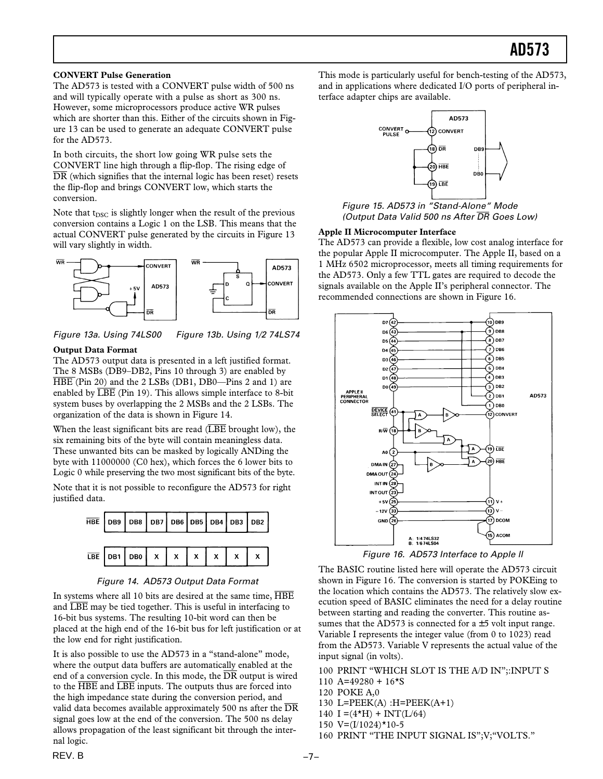#### **CONVERT Pulse Generation**

The AD573 is tested with a CONVERT pulse width of 500 ns and will typically operate with a pulse as short as 300 ns. However, some microprocessors produce active WR pulses which are shorter than this. Either of the circuits shown in Figure 13 can be used to generate an adequate CONVERT pulse for the AD573.

In both circuits, the short low going WR pulse sets the CONVERT line high through a flip-flop. The rising edge of DR (which signifies that the internal logic has been reset) resets the flip-flop and brings CONVERT low, which starts the conversion.

Note that  $t_{DSC}$  is slightly longer when the result of the previous conversion contains a Logic 1 on the LSB. This means that the actual CONVERT pulse generated by the circuits in Figure 13 will vary slightly in width.



Figure 13a. Using 74LS00 Figure 13b. Using 1/2 74LS74

#### **Output Data Format**

The AD573 output data is presented in a left justified format. The 8 MSBs (DB9–DB2, Pins 10 through 3) are enabled by HBE (Pin 20) and the 2 LSBs (DB1, DB0—Pins 2 and 1) are enabled by  $\overline{\text{LBE}}$  (Pin 19). This allows simple interface to 8-bit system buses by overlapping the 2 MSBs and the 2 LSBs. The organization of the data is shown in Figure 14.

When the least significant bits are read  $(\overline{\text{LBE}})$  brought low), the six remaining bits of the byte will contain meaningless data. These unwanted bits can be masked by logically ANDing the byte with 11000000 (C0 hex), which forces the 6 lower bits to Logic 0 while preserving the two most significant bits of the byte.

Note that it is not possible to reconfigure the AD573 for right justified data.



Figure 14. AD573 Output Data Format

In systems where all 10 bits are desired at the same time,  $\overline{\text{HBE}}$ and LBE may be tied together. This is useful in interfacing to 16-bit bus systems. The resulting 10-bit word can then be placed at the high end of the 16-bit bus for left justification or at the low end for right justification.

It is also possible to use the AD573 in a "stand-alone" mode, where the output data buffers are automatically enabled at the end of a conversion cycle. In this mode, the  $\overline{DR}$  output is wired to the HBE and LBE inputs. The outputs thus are forced into the high impedance state during the conversion period, and valid data becomes available approximately 500 ns after the DR signal goes low at the end of the conversion. The 500 ns delay allows propagation of the least significant bit through the internal logic.

This mode is particularly useful for bench-testing of the AD573, and in applications where dedicated I/O ports of peripheral interface adapter chips are available.



Figure 15. AD573 in "Stand-Alone" Mode (Output Data Valid 500 ns After *DR* Goes Low)

#### **Apple II Microcomputer Interface**

The AD573 can provide a flexible, low cost analog interface for the popular Apple II microcomputer. The Apple II, based on a 1 MHz 6502 microprocessor, meets all timing requirements for the AD573. Only a few TTL gates are required to decode the signals available on the Apple II's peripheral connector. The recommended connections are shown in Figure 16.



Figure 16. AD573 Interface to Apple ll

The BASIC routine listed here will operate the AD573 circuit shown in Figure 16. The conversion is started by POKEing to the location which contains the AD573. The relatively slow execution speed of BASIC eliminates the need for a delay routine between starting and reading the converter. This routine assumes that the AD573 is connected for  $a \pm 5$  volt input range. Variable I represents the integer value (from 0 to 1023) read from the AD573. Variable V represents the actual value of the input signal (in volts).

100 PRINT "WHICH SLOT IS THE A/D IN";:INPUT S

- 110 A=49280 +  $16*$ S
- 120 POKE A,0
- 130 L=PEEK(A) :H=PEEK(A+1)
- 140  $I = (4 \star H) + INT(L/64)$
- 150 V=(I/1024)\*10-5
- 160 PRINT "THE INPUT SIGNAL IS";V;"VOLTS."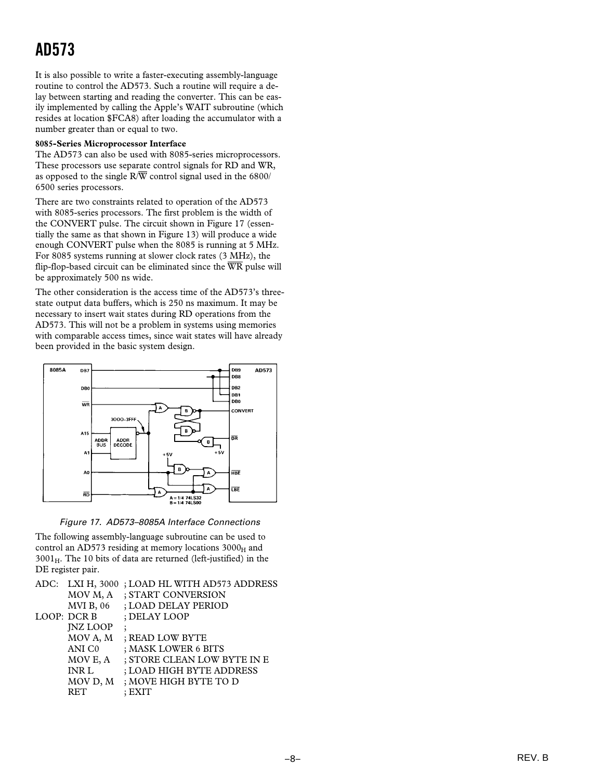It is also possible to write a faster-executing assembly-language routine to control the AD573. Such a routine will require a delay between starting and reading the converter. This can be easily implemented by calling the Apple's WAIT subroutine (which resides at location \$FCA8) after loading the accumulator with a number greater than or equal to two.

#### **8085-Series Microprocessor Interface**

The AD573 can also be used with 8085-series microprocessors. These processors use separate control signals for RD and WR, as opposed to the single  $R/\overline{W}$  control signal used in the 6800/ 6500 series processors.

There are two constraints related to operation of the AD573 with 8085-series processors. The first problem is the width of the CONVERT pulse. The circuit shown in Figure 17 (essentially the same as that shown in Figure 13) will produce a wide enough CONVERT pulse when the 8085 is running at 5 MHz. For 8085 systems running at slower clock rates (3 MHz), the flip-flop-based circuit can be eliminated since the  $\overline{WR}$  pulse will be approximately 500 ns wide.

The other consideration is the access time of the AD573's threestate output data buffers, which is 250 ns maximum. It may be necessary to insert wait states during RD operations from the AD573. This will not be a problem in systems using memories with comparable access times, since wait states will have already been provided in the basic system design.



Figure 17. AD573–8085A Interface Connections

The following assembly-language subroutine can be used to control an AD573 residing at memory locations  $3000_H$  and  $3001_H$ . The 10 bits of data are returned (left-justified) in the DE register pair.

|                    | ADC: LXI H, 3000; LOAD HL WITH AD573 ADDRESS |
|--------------------|----------------------------------------------|
| MOV M, A           | ; START CONVERSION                           |
| <b>MVI B, 06</b>   | ; LOAD DELAY PERIOD                          |
| LOOP: DCR B        | : DELAY LOOP                                 |
| <b>INZ LOOP</b>    |                                              |
| MOV A, M           | ; READ LOW BYTE                              |
| ANI C <sub>0</sub> | ; MASK LOWER 6 BITS                          |
| MOV E, A           | ; STORE CLEAN LOW BYTE IN E                  |
| <b>INR L</b>       | ; LOAD HIGH BYTE ADDRESS                     |
| MOV D, M           | ; MOVE HIGH BYTE TO D                        |
| <b>RET</b>         | $:$ EXIT                                     |
|                    |                                              |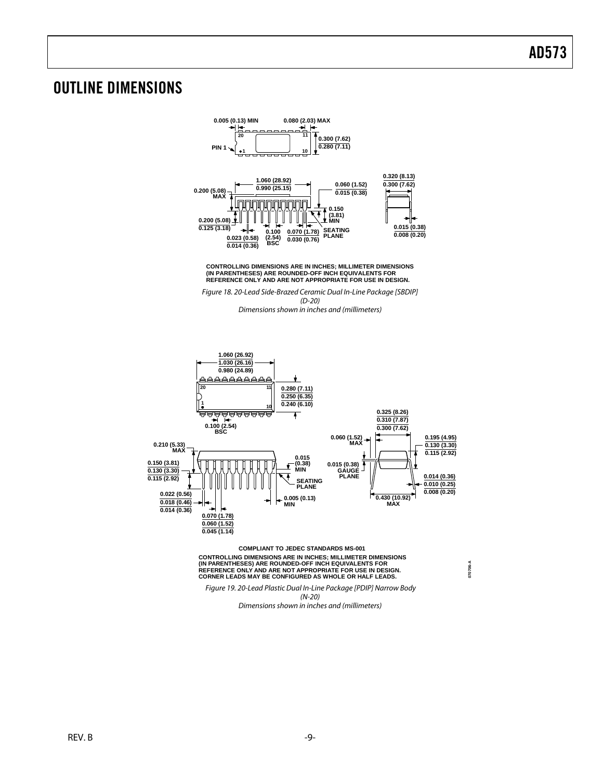### OUTLINE DIMENSIONS



**CONTROLLING DIMENSIONS ARE IN INCHES; MILLIMETER DIMENSIONS (IN PARENTHESES) ARE ROUNDED-OFF INCH EQUIVALENTS FOR REFERENCE ONLY AND ARE NOT APPROPRIATE FOR USE IN DESIGN.**

Figure 18. 20-Lead Side-Brazed Ceramic Dual In-Line Package [SBDIP] (D-20) Dimensions shown in inches and (millimeters)



CONTROLLING DIMENSIONS ARE IN INCHES; MILLIMETER DIMENSIONS<br>(IN PARENTHESES) ARE ROUNDED-OFF INCH EQUIVALENTS FOR<br>REFERENCE ONLY AND ARE NOT APPROPRIATE FOR USE IN DESIGN.<br>CORNER LEADS MAY BE CONFIGURED AS WHOLE OR HALF LE

**070706-A**

 Figure 19. 20-Lead Plastic Dual In-Line Package [PDIP] Narrow Body (N-20)

Dimensions shown in inches and (millimeters)